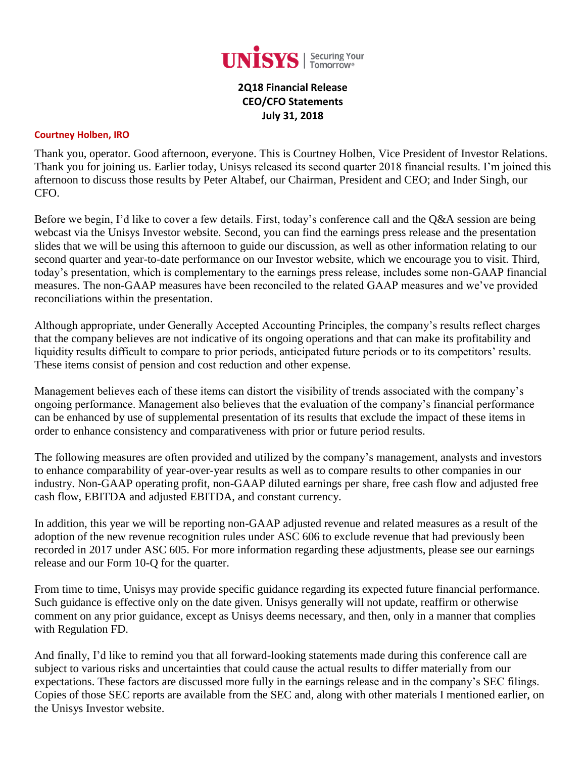

# **2Q18 Financial Release CEO/CFO Statements July 31, 2018**

#### **Courtney Holben, IRO**

Thank you, operator. Good afternoon, everyone. This is Courtney Holben, Vice President of Investor Relations. Thank you for joining us. Earlier today, Unisys released its second quarter 2018 financial results. I'm joined this afternoon to discuss those results by Peter Altabef, our Chairman, President and CEO; and Inder Singh, our CFO.

Before we begin, I'd like to cover a few details. First, today's conference call and the Q&A session are being webcast via the Unisys Investor website. Second, you can find the earnings press release and the presentation slides that we will be using this afternoon to guide our discussion, as well as other information relating to our second quarter and year-to-date performance on our Investor website, which we encourage you to visit. Third, today's presentation, which is complementary to the earnings press release, includes some non-GAAP financial measures. The non-GAAP measures have been reconciled to the related GAAP measures and we've provided reconciliations within the presentation.

Although appropriate, under Generally Accepted Accounting Principles, the company's results reflect charges that the company believes are not indicative of its ongoing operations and that can make its profitability and liquidity results difficult to compare to prior periods, anticipated future periods or to its competitors' results. These items consist of pension and cost reduction and other expense.

Management believes each of these items can distort the visibility of trends associated with the company's ongoing performance. Management also believes that the evaluation of the company's financial performance can be enhanced by use of supplemental presentation of its results that exclude the impact of these items in order to enhance consistency and comparativeness with prior or future period results.

The following measures are often provided and utilized by the company's management, analysts and investors to enhance comparability of year-over-year results as well as to compare results to other companies in our industry. Non-GAAP operating profit, non-GAAP diluted earnings per share, free cash flow and adjusted free cash flow, EBITDA and adjusted EBITDA, and constant currency.

In addition, this year we will be reporting non-GAAP adjusted revenue and related measures as a result of the adoption of the new revenue recognition rules under ASC 606 to exclude revenue that had previously been recorded in 2017 under ASC 605. For more information regarding these adjustments, please see our earnings release and our Form 10-Q for the quarter.

From time to time, Unisys may provide specific guidance regarding its expected future financial performance. Such guidance is effective only on the date given. Unisys generally will not update, reaffirm or otherwise comment on any prior guidance, except as Unisys deems necessary, and then, only in a manner that complies with Regulation FD.

And finally, I'd like to remind you that all forward-looking statements made during this conference call are subject to various risks and uncertainties that could cause the actual results to differ materially from our expectations. These factors are discussed more fully in the earnings release and in the company's SEC filings. Copies of those SEC reports are available from the SEC and, along with other materials I mentioned earlier, on the Unisys Investor website.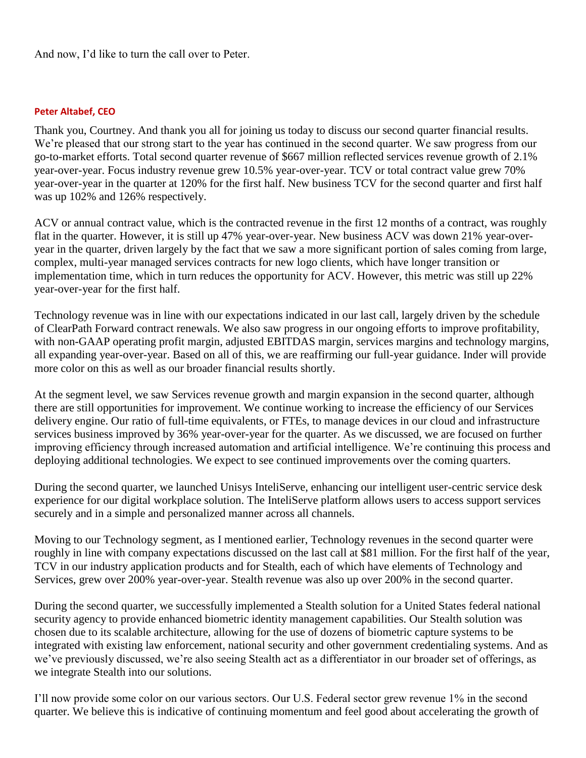And now, I'd like to turn the call over to Peter.

#### **Peter Altabef, CEO**

Thank you, Courtney. And thank you all for joining us today to discuss our second quarter financial results. We're pleased that our strong start to the year has continued in the second quarter. We saw progress from our go-to-market efforts. Total second quarter revenue of \$667 million reflected services revenue growth of 2.1% year-over-year. Focus industry revenue grew 10.5% year-over-year. TCV or total contract value grew 70% year-over-year in the quarter at 120% for the first half. New business TCV for the second quarter and first half was up 102% and 126% respectively.

ACV or annual contract value, which is the contracted revenue in the first 12 months of a contract, was roughly flat in the quarter. However, it is still up 47% year-over-year. New business ACV was down 21% year-overyear in the quarter, driven largely by the fact that we saw a more significant portion of sales coming from large, complex, multi-year managed services contracts for new logo clients, which have longer transition or implementation time, which in turn reduces the opportunity for ACV. However, this metric was still up 22% year-over-year for the first half.

Technology revenue was in line with our expectations indicated in our last call, largely driven by the schedule of ClearPath Forward contract renewals. We also saw progress in our ongoing efforts to improve profitability, with non-GAAP operating profit margin, adjusted EBITDAS margin, services margins and technology margins, all expanding year-over-year. Based on all of this, we are reaffirming our full-year guidance. Inder will provide more color on this as well as our broader financial results shortly.

At the segment level, we saw Services revenue growth and margin expansion in the second quarter, although there are still opportunities for improvement. We continue working to increase the efficiency of our Services delivery engine. Our ratio of full-time equivalents, or FTEs, to manage devices in our cloud and infrastructure services business improved by 36% year-over-year for the quarter. As we discussed, we are focused on further improving efficiency through increased automation and artificial intelligence. We're continuing this process and deploying additional technologies. We expect to see continued improvements over the coming quarters.

During the second quarter, we launched Unisys InteliServe, enhancing our intelligent user-centric service desk experience for our digital workplace solution. The InteliServe platform allows users to access support services securely and in a simple and personalized manner across all channels.

Moving to our Technology segment, as I mentioned earlier, Technology revenues in the second quarter were roughly in line with company expectations discussed on the last call at \$81 million. For the first half of the year, TCV in our industry application products and for Stealth, each of which have elements of Technology and Services, grew over 200% year-over-year. Stealth revenue was also up over 200% in the second quarter.

During the second quarter, we successfully implemented a Stealth solution for a United States federal national security agency to provide enhanced biometric identity management capabilities. Our Stealth solution was chosen due to its scalable architecture, allowing for the use of dozens of biometric capture systems to be integrated with existing law enforcement, national security and other government credentialing systems. And as we've previously discussed, we're also seeing Stealth act as a differentiator in our broader set of offerings, as we integrate Stealth into our solutions.

I'll now provide some color on our various sectors. Our U.S. Federal sector grew revenue 1% in the second quarter. We believe this is indicative of continuing momentum and feel good about accelerating the growth of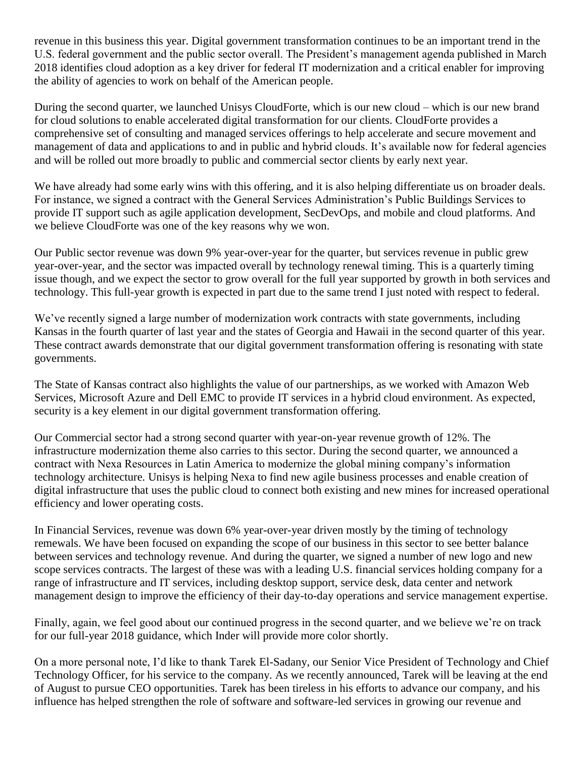revenue in this business this year. Digital government transformation continues to be an important trend in the U.S. federal government and the public sector overall. The President's management agenda published in March 2018 identifies cloud adoption as a key driver for federal IT modernization and a critical enabler for improving the ability of agencies to work on behalf of the American people.

During the second quarter, we launched Unisys CloudForte, which is our new cloud – which is our new brand for cloud solutions to enable accelerated digital transformation for our clients. CloudForte provides a comprehensive set of consulting and managed services offerings to help accelerate and secure movement and management of data and applications to and in public and hybrid clouds. It's available now for federal agencies and will be rolled out more broadly to public and commercial sector clients by early next year.

We have already had some early wins with this offering, and it is also helping differentiate us on broader deals. For instance, we signed a contract with the General Services Administration's Public Buildings Services to provide IT support such as agile application development, SecDevOps, and mobile and cloud platforms. And we believe CloudForte was one of the key reasons why we won.

Our Public sector revenue was down 9% year-over-year for the quarter, but services revenue in public grew year-over-year, and the sector was impacted overall by technology renewal timing. This is a quarterly timing issue though, and we expect the sector to grow overall for the full year supported by growth in both services and technology. This full-year growth is expected in part due to the same trend I just noted with respect to federal.

We've recently signed a large number of modernization work contracts with state governments, including Kansas in the fourth quarter of last year and the states of Georgia and Hawaii in the second quarter of this year. These contract awards demonstrate that our digital government transformation offering is resonating with state governments.

The State of Kansas contract also highlights the value of our partnerships, as we worked with Amazon Web Services, Microsoft Azure and Dell EMC to provide IT services in a hybrid cloud environment. As expected, security is a key element in our digital government transformation offering.

Our Commercial sector had a strong second quarter with year-on-year revenue growth of 12%. The infrastructure modernization theme also carries to this sector. During the second quarter, we announced a contract with Nexa Resources in Latin America to modernize the global mining company's information technology architecture. Unisys is helping Nexa to find new agile business processes and enable creation of digital infrastructure that uses the public cloud to connect both existing and new mines for increased operational efficiency and lower operating costs.

In Financial Services, revenue was down 6% year-over-year driven mostly by the timing of technology remewals. We have been focused on expanding the scope of our business in this sector to see better balance between services and technology revenue. And during the quarter, we signed a number of new logo and new scope services contracts. The largest of these was with a leading U.S. financial services holding company for a range of infrastructure and IT services, including desktop support, service desk, data center and network management design to improve the efficiency of their day-to-day operations and service management expertise.

Finally, again, we feel good about our continued progress in the second quarter, and we believe we're on track for our full-year 2018 guidance, which Inder will provide more color shortly.

On a more personal note, I'd like to thank Tarek El-Sadany, our Senior Vice President of Technology and Chief Technology Officer, for his service to the company. As we recently announced, Tarek will be leaving at the end of August to pursue CEO opportunities. Tarek has been tireless in his efforts to advance our company, and his influence has helped strengthen the role of software and software-led services in growing our revenue and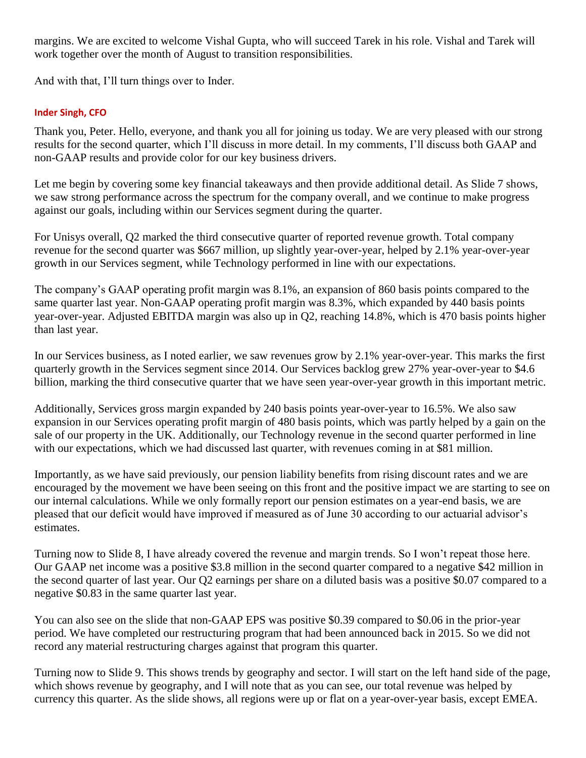margins. We are excited to welcome Vishal Gupta, who will succeed Tarek in his role. Vishal and Tarek will work together over the month of August to transition responsibilities.

And with that, I'll turn things over to Inder.

## **Inder Singh, CFO**

Thank you, Peter. Hello, everyone, and thank you all for joining us today. We are very pleased with our strong results for the second quarter, which I'll discuss in more detail. In my comments, I'll discuss both GAAP and non-GAAP results and provide color for our key business drivers.

Let me begin by covering some key financial takeaways and then provide additional detail. As Slide 7 shows, we saw strong performance across the spectrum for the company overall, and we continue to make progress against our goals, including within our Services segment during the quarter.

For Unisys overall, Q2 marked the third consecutive quarter of reported revenue growth. Total company revenue for the second quarter was \$667 million, up slightly year-over-year, helped by 2.1% year-over-year growth in our Services segment, while Technology performed in line with our expectations.

The company's GAAP operating profit margin was 8.1%, an expansion of 860 basis points compared to the same quarter last year. Non-GAAP operating profit margin was 8.3%, which expanded by 440 basis points year-over-year. Adjusted EBITDA margin was also up in Q2, reaching 14.8%, which is 470 basis points higher than last year.

In our Services business, as I noted earlier, we saw revenues grow by 2.1% year-over-year. This marks the first quarterly growth in the Services segment since 2014. Our Services backlog grew 27% year-over-year to \$4.6 billion, marking the third consecutive quarter that we have seen year-over-year growth in this important metric.

Additionally, Services gross margin expanded by 240 basis points year-over-year to 16.5%. We also saw expansion in our Services operating profit margin of 480 basis points, which was partly helped by a gain on the sale of our property in the UK. Additionally, our Technology revenue in the second quarter performed in line with our expectations, which we had discussed last quarter, with revenues coming in at \$81 million.

Importantly, as we have said previously, our pension liability benefits from rising discount rates and we are encouraged by the movement we have been seeing on this front and the positive impact we are starting to see on our internal calculations. While we only formally report our pension estimates on a year-end basis, we are pleased that our deficit would have improved if measured as of June 30 according to our actuarial advisor's estimates.

Turning now to Slide 8, I have already covered the revenue and margin trends. So I won't repeat those here. Our GAAP net income was a positive \$3.8 million in the second quarter compared to a negative \$42 million in the second quarter of last year. Our Q2 earnings per share on a diluted basis was a positive \$0.07 compared to a negative \$0.83 in the same quarter last year.

You can also see on the slide that non-GAAP EPS was positive \$0.39 compared to \$0.06 in the prior-year period. We have completed our restructuring program that had been announced back in 2015. So we did not record any material restructuring charges against that program this quarter.

Turning now to Slide 9. This shows trends by geography and sector. I will start on the left hand side of the page, which shows revenue by geography, and I will note that as you can see, our total revenue was helped by currency this quarter. As the slide shows, all regions were up or flat on a year-over-year basis, except EMEA.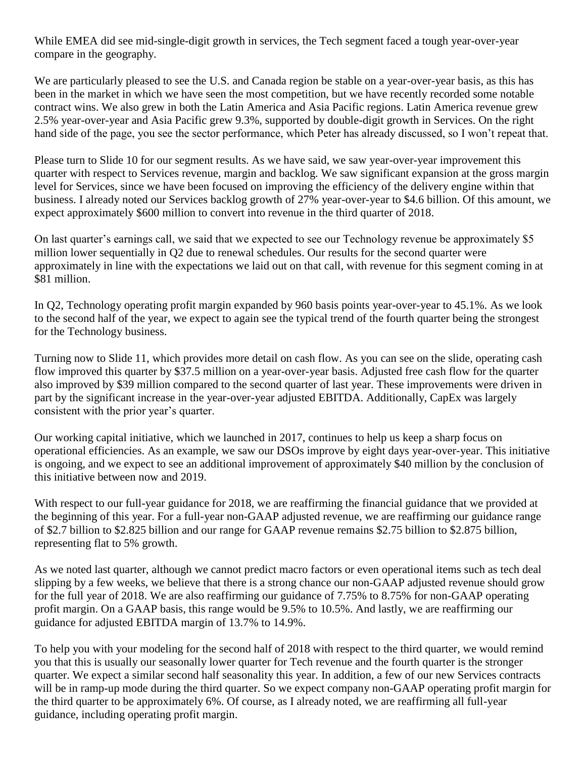While EMEA did see mid-single-digit growth in services, the Tech segment faced a tough year-over-year compare in the geography.

We are particularly pleased to see the U.S. and Canada region be stable on a year-over-year basis, as this has been in the market in which we have seen the most competition, but we have recently recorded some notable contract wins. We also grew in both the Latin America and Asia Pacific regions. Latin America revenue grew 2.5% year-over-year and Asia Pacific grew 9.3%, supported by double-digit growth in Services. On the right hand side of the page, you see the sector performance, which Peter has already discussed, so I won't repeat that.

Please turn to Slide 10 for our segment results. As we have said, we saw year-over-year improvement this quarter with respect to Services revenue, margin and backlog. We saw significant expansion at the gross margin level for Services, since we have been focused on improving the efficiency of the delivery engine within that business. I already noted our Services backlog growth of 27% year-over-year to \$4.6 billion. Of this amount, we expect approximately \$600 million to convert into revenue in the third quarter of 2018.

On last quarter's earnings call, we said that we expected to see our Technology revenue be approximately \$5 million lower sequentially in Q2 due to renewal schedules. Our results for the second quarter were approximately in line with the expectations we laid out on that call, with revenue for this segment coming in at \$81 million.

In Q2, Technology operating profit margin expanded by 960 basis points year-over-year to 45.1%. As we look to the second half of the year, we expect to again see the typical trend of the fourth quarter being the strongest for the Technology business.

Turning now to Slide 11, which provides more detail on cash flow. As you can see on the slide, operating cash flow improved this quarter by \$37.5 million on a year-over-year basis. Adjusted free cash flow for the quarter also improved by \$39 million compared to the second quarter of last year. These improvements were driven in part by the significant increase in the year-over-year adjusted EBITDA. Additionally, CapEx was largely consistent with the prior year's quarter.

Our working capital initiative, which we launched in 2017, continues to help us keep a sharp focus on operational efficiencies. As an example, we saw our DSOs improve by eight days year-over-year. This initiative is ongoing, and we expect to see an additional improvement of approximately \$40 million by the conclusion of this initiative between now and 2019.

With respect to our full-year guidance for 2018, we are reaffirming the financial guidance that we provided at the beginning of this year. For a full-year non-GAAP adjusted revenue, we are reaffirming our guidance range of \$2.7 billion to \$2.825 billion and our range for GAAP revenue remains \$2.75 billion to \$2.875 billion, representing flat to 5% growth.

As we noted last quarter, although we cannot predict macro factors or even operational items such as tech deal slipping by a few weeks, we believe that there is a strong chance our non-GAAP adjusted revenue should grow for the full year of 2018. We are also reaffirming our guidance of 7.75% to 8.75% for non-GAAP operating profit margin. On a GAAP basis, this range would be 9.5% to 10.5%. And lastly, we are reaffirming our guidance for adjusted EBITDA margin of 13.7% to 14.9%.

To help you with your modeling for the second half of 2018 with respect to the third quarter, we would remind you that this is usually our seasonally lower quarter for Tech revenue and the fourth quarter is the stronger quarter. We expect a similar second half seasonality this year. In addition, a few of our new Services contracts will be in ramp-up mode during the third quarter. So we expect company non-GAAP operating profit margin for the third quarter to be approximately 6%. Of course, as I already noted, we are reaffirming all full-year guidance, including operating profit margin.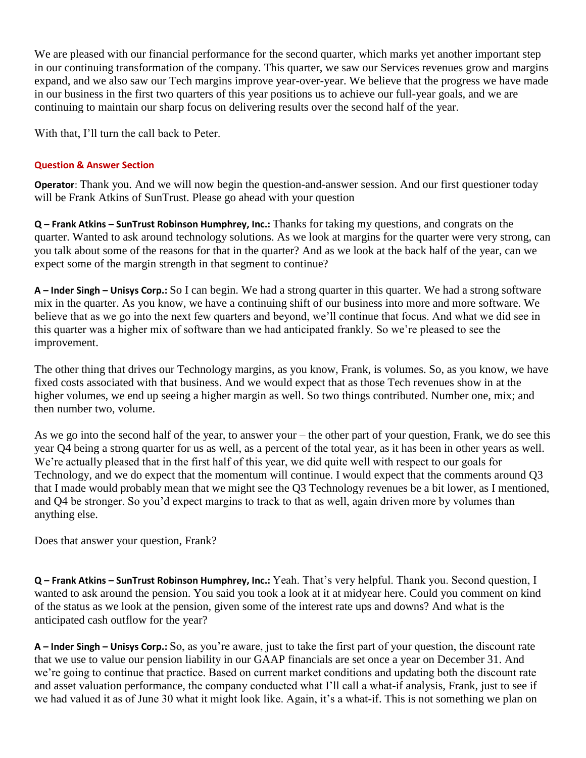We are pleased with our financial performance for the second quarter, which marks yet another important step in our continuing transformation of the company. This quarter, we saw our Services revenues grow and margins expand, and we also saw our Tech margins improve year-over-year. We believe that the progress we have made in our business in the first two quarters of this year positions us to achieve our full-year goals, and we are continuing to maintain our sharp focus on delivering results over the second half of the year.

With that, I'll turn the call back to Peter.

## **Question & Answer Section**

**Operator**: Thank you. And we will now begin the question-and-answer session. And our first questioner today will be Frank Atkins of SunTrust. Please go ahead with your question

**Q – Frank Atkins – SunTrust Robinson Humphrey, Inc.:** Thanks for taking my questions, and congrats on the quarter. Wanted to ask around technology solutions. As we look at margins for the quarter were very strong, can you talk about some of the reasons for that in the quarter? And as we look at the back half of the year, can we expect some of the margin strength in that segment to continue?

**A – Inder Singh – Unisys Corp.:** So I can begin. We had a strong quarter in this quarter. We had a strong software mix in the quarter. As you know, we have a continuing shift of our business into more and more software. We believe that as we go into the next few quarters and beyond, we'll continue that focus. And what we did see in this quarter was a higher mix of software than we had anticipated frankly. So we're pleased to see the improvement.

The other thing that drives our Technology margins, as you know, Frank, is volumes. So, as you know, we have fixed costs associated with that business. And we would expect that as those Tech revenues show in at the higher volumes, we end up seeing a higher margin as well. So two things contributed. Number one, mix; and then number two, volume.

As we go into the second half of the year, to answer your – the other part of your question, Frank, we do see this year Q4 being a strong quarter for us as well, as a percent of the total year, as it has been in other years as well. We're actually pleased that in the first half of this year, we did quite well with respect to our goals for Technology, and we do expect that the momentum will continue. I would expect that the comments around Q3 that I made would probably mean that we might see the Q3 Technology revenues be a bit lower, as I mentioned, and Q4 be stronger. So you'd expect margins to track to that as well, again driven more by volumes than anything else.

Does that answer your question, Frank?

**Q – Frank Atkins – SunTrust Robinson Humphrey, Inc.:** Yeah. That's very helpful. Thank you. Second question, I wanted to ask around the pension. You said you took a look at it at midyear here. Could you comment on kind of the status as we look at the pension, given some of the interest rate ups and downs? And what is the anticipated cash outflow for the year?

**A – Inder Singh – Unisys Corp.:** So, as you're aware, just to take the first part of your question, the discount rate that we use to value our pension liability in our GAAP financials are set once a year on December 31. And we're going to continue that practice. Based on current market conditions and updating both the discount rate and asset valuation performance, the company conducted what I'll call a what-if analysis, Frank, just to see if we had valued it as of June 30 what it might look like. Again, it's a what-if. This is not something we plan on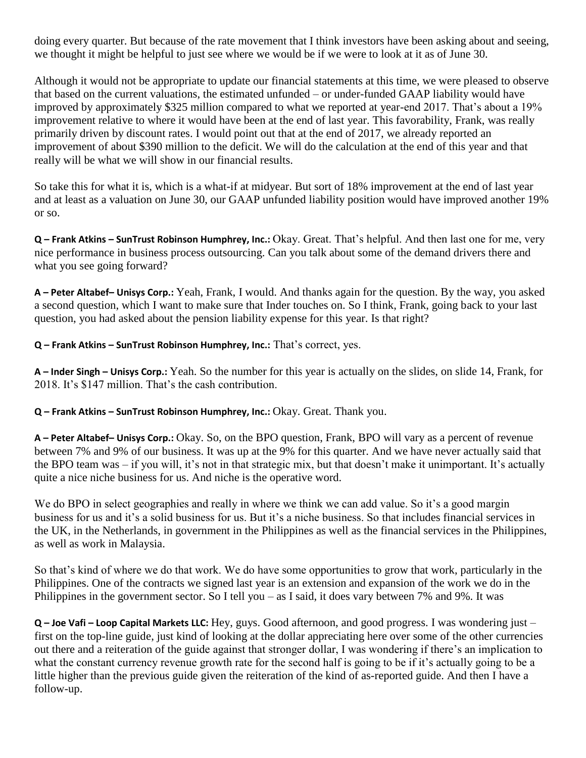doing every quarter. But because of the rate movement that I think investors have been asking about and seeing, we thought it might be helpful to just see where we would be if we were to look at it as of June 30.

Although it would not be appropriate to update our financial statements at this time, we were pleased to observe that based on the current valuations, the estimated unfunded – or under-funded GAAP liability would have improved by approximately \$325 million compared to what we reported at year-end 2017. That's about a 19% improvement relative to where it would have been at the end of last year. This favorability, Frank, was really primarily driven by discount rates. I would point out that at the end of 2017, we already reported an improvement of about \$390 million to the deficit. We will do the calculation at the end of this year and that really will be what we will show in our financial results.

So take this for what it is, which is a what-if at midyear. But sort of 18% improvement at the end of last year and at least as a valuation on June 30, our GAAP unfunded liability position would have improved another 19% or so.

**Q – Frank Atkins – SunTrust Robinson Humphrey, Inc.:** Okay. Great. That's helpful. And then last one for me, very nice performance in business process outsourcing. Can you talk about some of the demand drivers there and what you see going forward?

**A – Peter Altabef– Unisys Corp.:** Yeah, Frank, I would. And thanks again for the question. By the way, you asked a second question, which I want to make sure that Inder touches on. So I think, Frank, going back to your last question, you had asked about the pension liability expense for this year. Is that right?

**Q – Frank Atkins – SunTrust Robinson Humphrey, Inc.:** That's correct, yes.

**A – Inder Singh – Unisys Corp.:** Yeah. So the number for this year is actually on the slides, on slide 14, Frank, for 2018. It's \$147 million. That's the cash contribution.

**Q – Frank Atkins – SunTrust Robinson Humphrey, Inc.:** Okay. Great. Thank you.

**A – Peter Altabef– Unisys Corp.:** Okay. So, on the BPO question, Frank, BPO will vary as a percent of revenue between 7% and 9% of our business. It was up at the 9% for this quarter. And we have never actually said that the BPO team was – if you will, it's not in that strategic mix, but that doesn't make it unimportant. It's actually quite a nice niche business for us. And niche is the operative word.

We do BPO in select geographies and really in where we think we can add value. So it's a good margin business for us and it's a solid business for us. But it's a niche business. So that includes financial services in the UK, in the Netherlands, in government in the Philippines as well as the financial services in the Philippines, as well as work in Malaysia.

So that's kind of where we do that work. We do have some opportunities to grow that work, particularly in the Philippines. One of the contracts we signed last year is an extension and expansion of the work we do in the Philippines in the government sector. So I tell you – as I said, it does vary between 7% and 9%. It was

**Q** – **Joe Vafi** – **Loop Capital Markets LLC:** Hey, guys. Good afternoon, and good progress. I was wondering just – first on the top-line guide, just kind of looking at the dollar appreciating here over some of the other currencies out there and a reiteration of the guide against that stronger dollar, I was wondering if there's an implication to what the constant currency revenue growth rate for the second half is going to be if it's actually going to be a little higher than the previous guide given the reiteration of the kind of as-reported guide. And then I have a follow-up.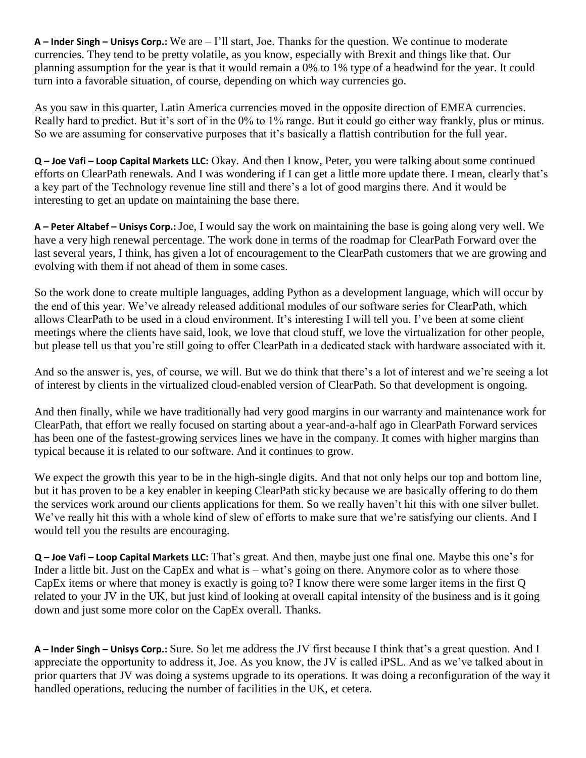**A – Inder Singh – Unisys Corp.:** We are – I'll start, Joe. Thanks for the question. We continue to moderate currencies. They tend to be pretty volatile, as you know, especially with Brexit and things like that. Our planning assumption for the year is that it would remain a 0% to 1% type of a headwind for the year. It could turn into a favorable situation, of course, depending on which way currencies go.

As you saw in this quarter, Latin America currencies moved in the opposite direction of EMEA currencies. Really hard to predict. But it's sort of in the 0% to 1% range. But it could go either way frankly, plus or minus. So we are assuming for conservative purposes that it's basically a flattish contribution for the full year.

**Q – Joe Vafi – Loop Capital Markets LLC:** Okay. And then I know, Peter, you were talking about some continued efforts on ClearPath renewals. And I was wondering if I can get a little more update there. I mean, clearly that's a key part of the Technology revenue line still and there's a lot of good margins there. And it would be interesting to get an update on maintaining the base there.

**A – Peter Altabef – Unisys Corp.:** Joe, I would say the work on maintaining the base is going along very well. We have a very high renewal percentage. The work done in terms of the roadmap for ClearPath Forward over the last several years, I think, has given a lot of encouragement to the ClearPath customers that we are growing and evolving with them if not ahead of them in some cases.

So the work done to create multiple languages, adding Python as a development language, which will occur by the end of this year. We've already released additional modules of our software series for ClearPath, which allows ClearPath to be used in a cloud environment. It's interesting I will tell you. I've been at some client meetings where the clients have said, look, we love that cloud stuff, we love the virtualization for other people, but please tell us that you're still going to offer ClearPath in a dedicated stack with hardware associated with it.

And so the answer is, yes, of course, we will. But we do think that there's a lot of interest and we're seeing a lot of interest by clients in the virtualized cloud-enabled version of ClearPath. So that development is ongoing.

And then finally, while we have traditionally had very good margins in our warranty and maintenance work for ClearPath, that effort we really focused on starting about a year-and-a-half ago in ClearPath Forward services has been one of the fastest-growing services lines we have in the company. It comes with higher margins than typical because it is related to our software. And it continues to grow.

We expect the growth this year to be in the high-single digits. And that not only helps our top and bottom line, but it has proven to be a key enabler in keeping ClearPath sticky because we are basically offering to do them the services work around our clients applications for them. So we really haven't hit this with one silver bullet. We've really hit this with a whole kind of slew of efforts to make sure that we're satisfying our clients. And I would tell you the results are encouraging.

**Q – Joe Vafi – Loop Capital Markets LLC:** That's great. And then, maybe just one final one. Maybe this one's for Inder a little bit. Just on the CapEx and what is – what's going on there. Anymore color as to where those CapEx items or where that money is exactly is going to? I know there were some larger items in the first Q related to your JV in the UK, but just kind of looking at overall capital intensity of the business and is it going down and just some more color on the CapEx overall. Thanks.

**A – Inder Singh – Unisys Corp.:** Sure. So let me address the JV first because I think that's a great question. And I appreciate the opportunity to address it, Joe. As you know, the JV is called iPSL. And as we've talked about in prior quarters that JV was doing a systems upgrade to its operations. It was doing a reconfiguration of the way it handled operations, reducing the number of facilities in the UK, et cetera.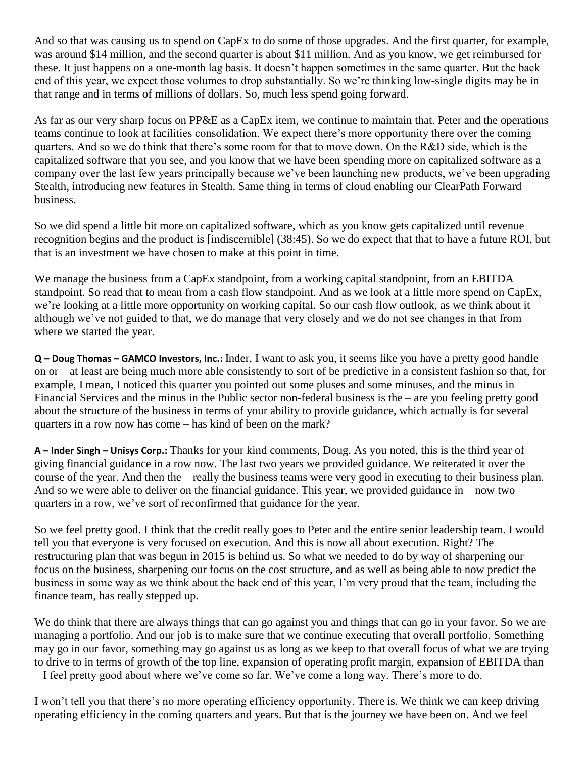And so that was causing us to spend on CapEx to do some of those upgrades. And the first quarter, for example, was around \$14 million, and the second quarter is about \$11 million. And as you know, we get reimbursed for these. It just happens on a one-month lag basis. It doesn't happen sometimes in the same quarter. But the back end of this year, we expect those volumes to drop substantially. So we're thinking low-single digits may be in that range and in terms of millions of dollars. So, much less spend going forward.

As far as our very sharp focus on PP&E as a CapEx item, we continue to maintain that. Peter and the operations teams continue to look at facilities consolidation. We expect there's more opportunity there over the coming quarters. And so we do think that there's some room for that to move down. On the R&D side, which is the capitalized software that you see, and you know that we have been spending more on capitalized software as a company over the last few years principally because we've been launching new products, we've been upgrading Stealth, introducing new features in Stealth. Same thing in terms of cloud enabling our ClearPath Forward business.

So we did spend a little bit more on capitalized software, which as you know gets capitalized until revenue recognition begins and the product is [indiscernible] (38:45). So we do expect that that to have a future ROI, but that is an investment we have chosen to make at this point in time.

We manage the business from a CapEx standpoint, from a working capital standpoint, from an EBITDA standpoint. So read that to mean from a cash flow standpoint. And as we look at a little more spend on CapEx, we're looking at a little more opportunity on working capital. So our cash flow outlook, as we think about it although we've not guided to that, we do manage that very closely and we do not see changes in that from where we started the year.

**Q – Doug Thomas – GAMCO Investors, Inc.:** Inder, I want to ask you, it seems like you have a pretty good handle on or – at least are being much more able consistently to sort of be predictive in a consistent fashion so that, for example, I mean, I noticed this quarter you pointed out some pluses and some minuses, and the minus in Financial Services and the minus in the Public sector non-federal business is the – are you feeling pretty good about the structure of the business in terms of your ability to provide guidance, which actually is for several quarters in a row now has come – has kind of been on the mark?

**A – Inder Singh – Unisys Corp.:** Thanks for your kind comments, Doug. As you noted, this is the third year of giving financial guidance in a row now. The last two years we provided guidance. We reiterated it over the course of the year. And then the – really the business teams were very good in executing to their business plan. And so we were able to deliver on the financial guidance. This year, we provided guidance in – now two quarters in a row, we've sort of reconfirmed that guidance for the year.

So we feel pretty good. I think that the credit really goes to Peter and the entire senior leadership team. I would tell you that everyone is very focused on execution. And this is now all about execution. Right? The restructuring plan that was begun in 2015 is behind us. So what we needed to do by way of sharpening our focus on the business, sharpening our focus on the cost structure, and as well as being able to now predict the business in some way as we think about the back end of this year, I'm very proud that the team, including the finance team, has really stepped up.

We do think that there are always things that can go against you and things that can go in your favor. So we are managing a portfolio. And our job is to make sure that we continue executing that overall portfolio. Something may go in our favor, something may go against us as long as we keep to that overall focus of what we are trying to drive to in terms of growth of the top line, expansion of operating profit margin, expansion of EBITDA than – I feel pretty good about where we've come so far. We've come a long way. There's more to do.

I won't tell you that there's no more operating efficiency opportunity. There is. We think we can keep driving operating efficiency in the coming quarters and years. But that is the journey we have been on. And we feel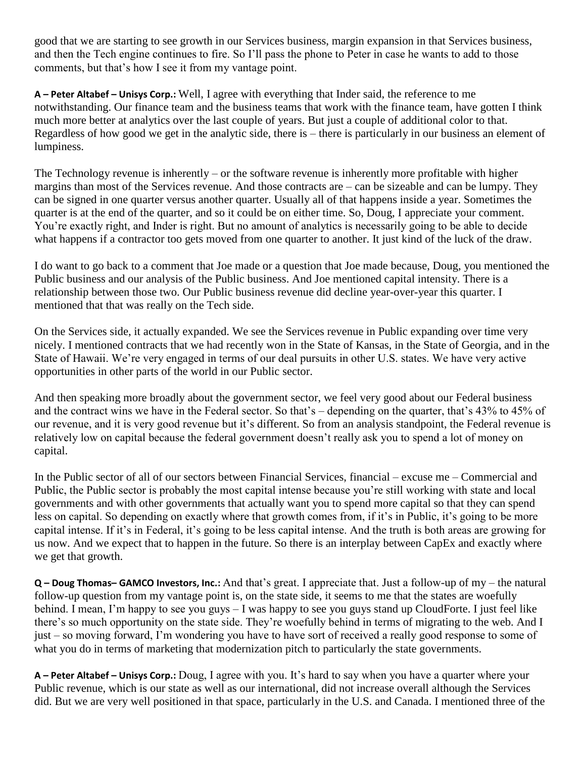good that we are starting to see growth in our Services business, margin expansion in that Services business, and then the Tech engine continues to fire. So I'll pass the phone to Peter in case he wants to add to those comments, but that's how I see it from my vantage point.

**A – Peter Altabef – Unisys Corp.:** Well, I agree with everything that Inder said, the reference to me notwithstanding. Our finance team and the business teams that work with the finance team, have gotten I think much more better at analytics over the last couple of years. But just a couple of additional color to that. Regardless of how good we get in the analytic side, there is – there is particularly in our business an element of lumpiness.

The Technology revenue is inherently – or the software revenue is inherently more profitable with higher margins than most of the Services revenue. And those contracts are – can be sizeable and can be lumpy. They can be signed in one quarter versus another quarter. Usually all of that happens inside a year. Sometimes the quarter is at the end of the quarter, and so it could be on either time. So, Doug, I appreciate your comment. You're exactly right, and Inder is right. But no amount of analytics is necessarily going to be able to decide what happens if a contractor too gets moved from one quarter to another. It just kind of the luck of the draw.

I do want to go back to a comment that Joe made or a question that Joe made because, Doug, you mentioned the Public business and our analysis of the Public business. And Joe mentioned capital intensity. There is a relationship between those two. Our Public business revenue did decline year-over-year this quarter. I mentioned that that was really on the Tech side.

On the Services side, it actually expanded. We see the Services revenue in Public expanding over time very nicely. I mentioned contracts that we had recently won in the State of Kansas, in the State of Georgia, and in the State of Hawaii. We're very engaged in terms of our deal pursuits in other U.S. states. We have very active opportunities in other parts of the world in our Public sector.

And then speaking more broadly about the government sector, we feel very good about our Federal business and the contract wins we have in the Federal sector. So that's – depending on the quarter, that's 43% to 45% of our revenue, and it is very good revenue but it's different. So from an analysis standpoint, the Federal revenue is relatively low on capital because the federal government doesn't really ask you to spend a lot of money on capital.

In the Public sector of all of our sectors between Financial Services, financial – excuse me – Commercial and Public, the Public sector is probably the most capital intense because you're still working with state and local governments and with other governments that actually want you to spend more capital so that they can spend less on capital. So depending on exactly where that growth comes from, if it's in Public, it's going to be more capital intense. If it's in Federal, it's going to be less capital intense. And the truth is both areas are growing for us now. And we expect that to happen in the future. So there is an interplay between CapEx and exactly where we get that growth.

**Q – Doug Thomas– GAMCO Investors, Inc.:** And that's great. I appreciate that. Just a follow-up of my – the natural follow-up question from my vantage point is, on the state side, it seems to me that the states are woefully behind. I mean, I'm happy to see you guys – I was happy to see you guys stand up CloudForte. I just feel like there's so much opportunity on the state side. They're woefully behind in terms of migrating to the web. And I just – so moving forward, I'm wondering you have to have sort of received a really good response to some of what you do in terms of marketing that modernization pitch to particularly the state governments.

**A – Peter Altabef – Unisys Corp.:** Doug, I agree with you. It's hard to say when you have a quarter where your Public revenue, which is our state as well as our international, did not increase overall although the Services did. But we are very well positioned in that space, particularly in the U.S. and Canada. I mentioned three of the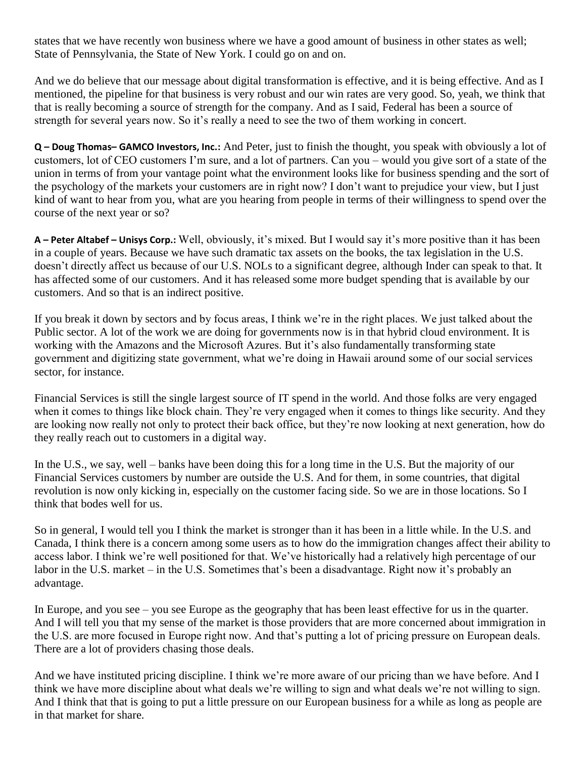states that we have recently won business where we have a good amount of business in other states as well; State of Pennsylvania, the State of New York. I could go on and on.

And we do believe that our message about digital transformation is effective, and it is being effective. And as I mentioned, the pipeline for that business is very robust and our win rates are very good. So, yeah, we think that that is really becoming a source of strength for the company. And as I said, Federal has been a source of strength for several years now. So it's really a need to see the two of them working in concert.

**Q – Doug Thomas– GAMCO Investors, Inc.:** And Peter, just to finish the thought, you speak with obviously a lot of customers, lot of CEO customers I'm sure, and a lot of partners. Can you – would you give sort of a state of the union in terms of from your vantage point what the environment looks like for business spending and the sort of the psychology of the markets your customers are in right now? I don't want to prejudice your view, but I just kind of want to hear from you, what are you hearing from people in terms of their willingness to spend over the course of the next year or so?

**A – Peter Altabef – Unisys Corp.:** Well, obviously, it's mixed. But I would say it's more positive than it has been in a couple of years. Because we have such dramatic tax assets on the books, the tax legislation in the U.S. doesn't directly affect us because of our U.S. NOLs to a significant degree, although Inder can speak to that. It has affected some of our customers. And it has released some more budget spending that is available by our customers. And so that is an indirect positive.

If you break it down by sectors and by focus areas, I think we're in the right places. We just talked about the Public sector. A lot of the work we are doing for governments now is in that hybrid cloud environment. It is working with the Amazons and the Microsoft Azures. But it's also fundamentally transforming state government and digitizing state government, what we're doing in Hawaii around some of our social services sector, for instance.

Financial Services is still the single largest source of IT spend in the world. And those folks are very engaged when it comes to things like block chain. They're very engaged when it comes to things like security. And they are looking now really not only to protect their back office, but they're now looking at next generation, how do they really reach out to customers in a digital way.

In the U.S., we say, well – banks have been doing this for a long time in the U.S. But the majority of our Financial Services customers by number are outside the U.S. And for them, in some countries, that digital revolution is now only kicking in, especially on the customer facing side. So we are in those locations. So I think that bodes well for us.

So in general, I would tell you I think the market is stronger than it has been in a little while. In the U.S. and Canada, I think there is a concern among some users as to how do the immigration changes affect their ability to access labor. I think we're well positioned for that. We've historically had a relatively high percentage of our labor in the U.S. market – in the U.S. Sometimes that's been a disadvantage. Right now it's probably an advantage.

In Europe, and you see – you see Europe as the geography that has been least effective for us in the quarter. And I will tell you that my sense of the market is those providers that are more concerned about immigration in the U.S. are more focused in Europe right now. And that's putting a lot of pricing pressure on European deals. There are a lot of providers chasing those deals.

And we have instituted pricing discipline. I think we're more aware of our pricing than we have before. And I think we have more discipline about what deals we're willing to sign and what deals we're not willing to sign. And I think that that is going to put a little pressure on our European business for a while as long as people are in that market for share.